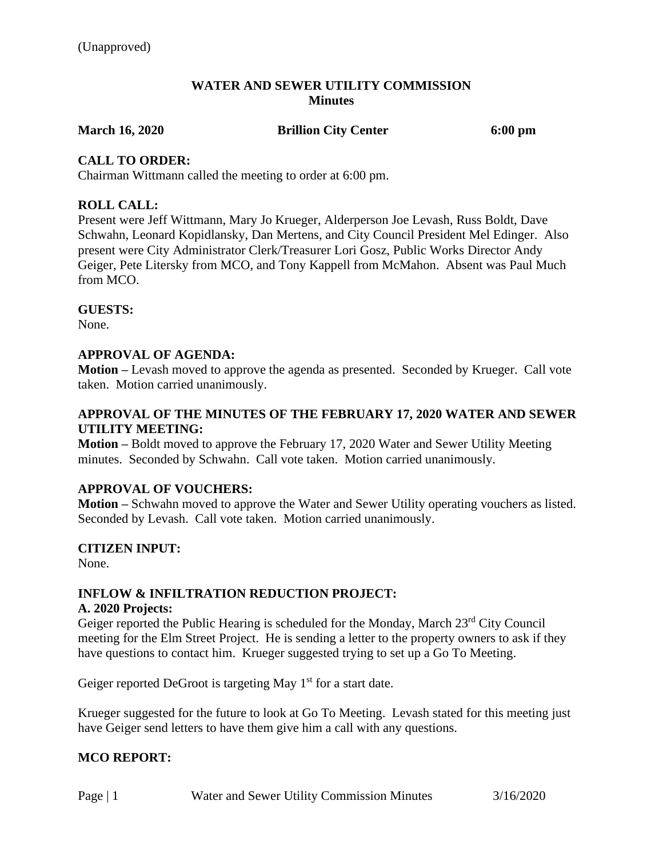### **WATER AND SEWER UTILITY COMMISSION Minutes**

**March 16, 2020 Brillion City Center 6:00 pm**

# **CALL TO ORDER:**

Chairman Wittmann called the meeting to order at 6:00 pm.

# **ROLL CALL:**

Present were Jeff Wittmann, Mary Jo Krueger, Alderperson Joe Levash, Russ Boldt, Dave Schwahn, Leonard Kopidlansky, Dan Mertens, and City Council President Mel Edinger. Also present were City Administrator Clerk/Treasurer Lori Gosz, Public Works Director Andy Geiger, Pete Litersky from MCO, and Tony Kappell from McMahon. Absent was Paul Much from MCO.

# **GUESTS:**

None.

# **APPROVAL OF AGENDA:**

**Motion –** Levash moved to approve the agenda as presented. Seconded by Krueger. Call vote taken. Motion carried unanimously.

# **APPROVAL OF THE MINUTES OF THE FEBRUARY 17, 2020 WATER AND SEWER UTILITY MEETING:**

**Motion –** Boldt moved to approve the February 17, 2020 Water and Sewer Utility Meeting minutes. Seconded by Schwahn. Call vote taken. Motion carried unanimously.

#### **APPROVAL OF VOUCHERS:**

**Motion –** Schwahn moved to approve the Water and Sewer Utility operating vouchers as listed. Seconded by Levash. Call vote taken. Motion carried unanimously.

#### **CITIZEN INPUT:**

None.

# **INFLOW & INFILTRATION REDUCTION PROJECT:**

#### **A. 2020 Projects:**

Geiger reported the Public Hearing is scheduled for the Monday, March 23rd City Council meeting for the Elm Street Project. He is sending a letter to the property owners to ask if they have questions to contact him. Krueger suggested trying to set up a Go To Meeting.

Geiger reported DeGroot is targeting May  $1<sup>st</sup>$  for a start date.

Krueger suggested for the future to look at Go To Meeting. Levash stated for this meeting just have Geiger send letters to have them give him a call with any questions.

# **MCO REPORT:**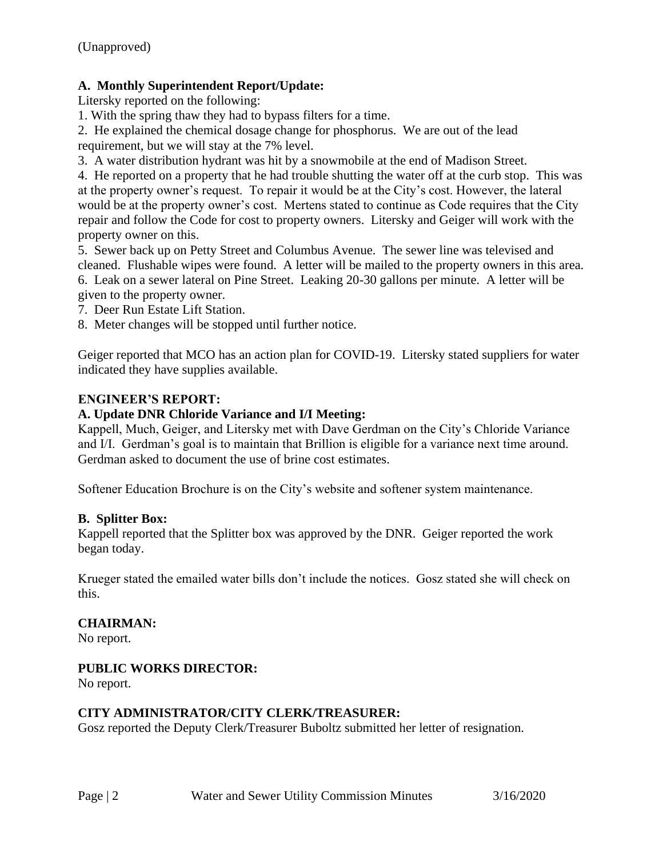# **A. Monthly Superintendent Report/Update:**

Litersky reported on the following:

1. With the spring thaw they had to bypass filters for a time.

2. He explained the chemical dosage change for phosphorus. We are out of the lead requirement, but we will stay at the 7% level.

3. A water distribution hydrant was hit by a snowmobile at the end of Madison Street.

4. He reported on a property that he had trouble shutting the water off at the curb stop. This was at the property owner's request. To repair it would be at the City's cost. However, the lateral would be at the property owner's cost. Mertens stated to continue as Code requires that the City repair and follow the Code for cost to property owners. Litersky and Geiger will work with the property owner on this.

5. Sewer back up on Petty Street and Columbus Avenue. The sewer line was televised and cleaned. Flushable wipes were found. A letter will be mailed to the property owners in this area. 6. Leak on a sewer lateral on Pine Street. Leaking 20-30 gallons per minute. A letter will be given to the property owner.

7. Deer Run Estate Lift Station.

8. Meter changes will be stopped until further notice.

Geiger reported that MCO has an action plan for COVID-19. Litersky stated suppliers for water indicated they have supplies available.

# **ENGINEER'S REPORT:**

# **A. Update DNR Chloride Variance and I/I Meeting:**

Kappell, Much, Geiger, and Litersky met with Dave Gerdman on the City's Chloride Variance and I/I. Gerdman's goal is to maintain that Brillion is eligible for a variance next time around. Gerdman asked to document the use of brine cost estimates.

Softener Education Brochure is on the City's website and softener system maintenance.

# **B. Splitter Box:**

Kappell reported that the Splitter box was approved by the DNR. Geiger reported the work began today.

Krueger stated the emailed water bills don't include the notices. Gosz stated she will check on this.

# **CHAIRMAN:**

No report.

# **PUBLIC WORKS DIRECTOR:**

No report.

# **CITY ADMINISTRATOR/CITY CLERK/TREASURER:**

Gosz reported the Deputy Clerk/Treasurer Buboltz submitted her letter of resignation.